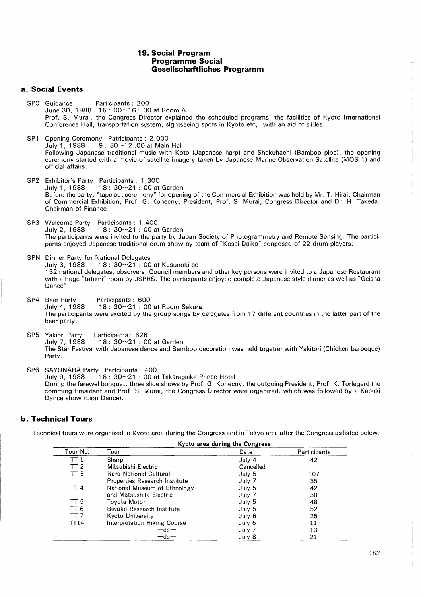### **19. Social Program Programme Social Gesellschaftliches Programm**

## **a. Social Events**

- SPO Guidance Participants : 200 June 30, 1988 15: 00~16: 00 at Room A Prof. S. Murai, the Congress Director explained the scheduled programs, the facilities of Kyoto International Conference Hall, transportation system, sightseeing spots in Kyoto etc,. with an aid of slides.
- SP1 Opening Ceremony Patricipants: 2,000<br>July 1, 1988 9: 30~12:00 at Main  $9:30~12:00$  at Main Hall Following Japanese traditional music with Koto (Japanese harp) and Shakuhachi (Bamboo pipe), the opening ceremony started with a movie of satellite imagery taken by Japanese Marine Observation Satellite (MOS-1) and official affairs.
- SP2 Exhibitor's Party Participants: 1,300  $18: 30~21: 00$  at Garden Before the party, "tape cut ceremony" for opening of the Commercial Exhibition was held by Mr. T. Hirai, Chairman of Commercial Exhibition, Prof, G. Konecny, President, Prof. S. Murai, Congress Director and Dr. H. Takeda, Chairman of Finance.
- SP3 Welcome Party Participants : 1 ,400  $18: 30~21: 00$  at Garden The participants were invited to the party by Japan Society of Photogrammetry and Remote Sensing. The participants enjoyed Japanese traditional drum show by team of "Kosei Daiko" conposed of 22 drum players.
- SPN Dinner Party for National Delegates<br>July 3, 1988 18: 30~21: 00  $18: 30~21$ : 00 at Kusunoki-so 1 32 national delegates, observers, Council members and other key persons were invited to a Japanese Restaurant with a huge "tatami" room by JSPRS. The participants enjoyed complete Japanese style dinner as well as "Geisha Dance".
- SP4 Beer Party Participants : 600<br>July 4, 1988 18 : 30~21 : 00  $18: 30~21: 00$  at Room Sakura The participants were excited by the group songs by delegates from 17 different countries in the latter part of the beer party.
- SP5 Yakiori Party Participants: 626<br>July 7, 1988 18: 30~21: 0  $18:30~21:00$  at Garden The Star Festival with Japanese dance and Bamboo decoration was held togetrer with Yakitori (Chicken barbeque) Party.
- SP6 SAYONARA Party Partcipants: 400<br>July 9, 1988 18: 30~21: 00 a  $18: 30 - 21: 00$  at Takaragaike Prince Hotel During the farewel bonquet, three slide shows by Prof. G. Konecny, the outgoing President, Prof. K. Torlegard the comming President and Prof. S. Murai, the Congress Director were organized, which was followed by a Kabuki Dance show (Lion Dance).

### **b. Technical Tours**

Technical tours were organized in Kyoto area during the Congress and in Tokyo area after the Congress as listed below.

|                 | Kyoto area during the Congress      |           |              |
|-----------------|-------------------------------------|-----------|--------------|
| Tour No.        | Tour                                | Date      | Participants |
| TT 1            | Sharp                               | July 4    | 42           |
| TT <sub>2</sub> | Mitsubishi Electric                 | Cancelled |              |
| TT <sub>3</sub> | Nara National Cultural              | July 5    | 107          |
|                 | Properties Research Institute       | July 7    | 35           |
| <b>TT4</b>      | National Museum of Ethnology        | July 5    | 42           |
|                 | and Matsushita Electric             | July 7    | 30           |
| TT <sub>5</sub> | Tovota Motor                        | July 5    | 48           |
| TT 6            | Biwako Research Institute           | July 5    | 52           |
| TT <sub>7</sub> | Kyoto University                    | July 6    | 25           |
| TT14            | <b>Interpretation Hiking Course</b> | July 6    | 11           |
|                 | $-do-$                              | July 7    | 13           |
|                 | $-$ do $-$                          | July 8    | 21           |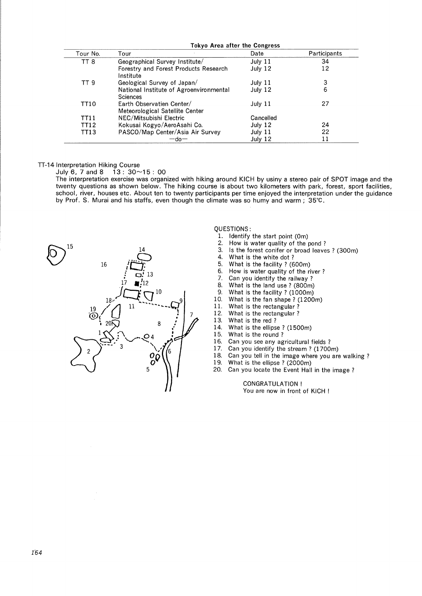|                 | Tokyo Area after the Congress                                |           |              |  |
|-----------------|--------------------------------------------------------------|-----------|--------------|--|
| Tour No.        | Tour                                                         | Date      | Participants |  |
| TT <sub>8</sub> | Geographical Survey Institute/                               | July $11$ | 34           |  |
|                 | Forestry and Forest Products Research<br>Institute           | July 12   | 12           |  |
| TT 9            | Geological Survey of Japan/                                  | July 11   | 3            |  |
|                 | National Institute of Agroenvironmental<br>Sciences          | July 12   | 6            |  |
| TT10            | Earth Observatien Center/<br>Meteorological Satellite Center | July 11   | 27           |  |
| TT11            | NEC/Mitsubishi Electric                                      | Cancelled |              |  |
| <b>TT12</b>     | Kokusai Kogyo/AeroAsahi Co.                                  | July 12   | 24           |  |
| TT13            | PASCO/Map Center/Asia Air Survey                             | July 11   | 22           |  |
|                 | —do—                                                         | July 12   | 11           |  |

#### TT-14 Interpretation Hiking Course

July 6, 7 and 8  $13: 30 \sim 15: 00$ 

The interpretation exercise was organized with hiking around KICH by usiny a stereo pair of SPOT image and the twenty questions as shown below. The hiking course is about two kilometers with park, forest, sport facilities, school, river, houses etc. About ten to twenty participants per time enjoyed the interpretation under the guidance by Prof. S. Murai and his staffs, even though the climate was so humy and warm; 35°C.



QUESTIONS:

- 1. Identify the start point (Om)
- 2. How is water quality of the pond ?
- 3. Is the forest conifer or broad leaves ? (300m)
- 4. What is the white dot?<br>5. What is the facility? (6
- 
- 5. What is the facility ? (600m)<br>6. How is water quality of the ri 6. How is water quality of the river?<br>7. Can you identify the railway?
- 7. Can you identify the railway?<br>8. What is the land use ?  $(800m)$
- 8. What is the land use ? (800m)<br>9. What is the facility ? (1000m)
- 
- 9. What is the facility ? (1000m)<br>10. What is the fan shape ? (1200 10. What is the fan shape? (1200m)<br>11. What is the rectangular?
- 11. What is the rectangular?<br>12. What is the rectangular?
- 12. What is the rectangular?<br>13. What is the red?
- 13. What is the red ?<br>14. What is the ellips
- 14. What is the ellipse? (1500m)<br>15. What is the round?
- What is the round?
- 16. Can you see any agricultural fields ?<br>17. Can you identify the stream ? (1700)
- Can you identify the stream ? (1700m)
- 18. Can you tell in the image where you are walking?<br>19. What is the ellinse ? (2000m)
- What is the ellipse ? (2000m)
- 20. Can you locate the Event Hall in the image ?

CONGRATULATION! You are now in front of KICH !